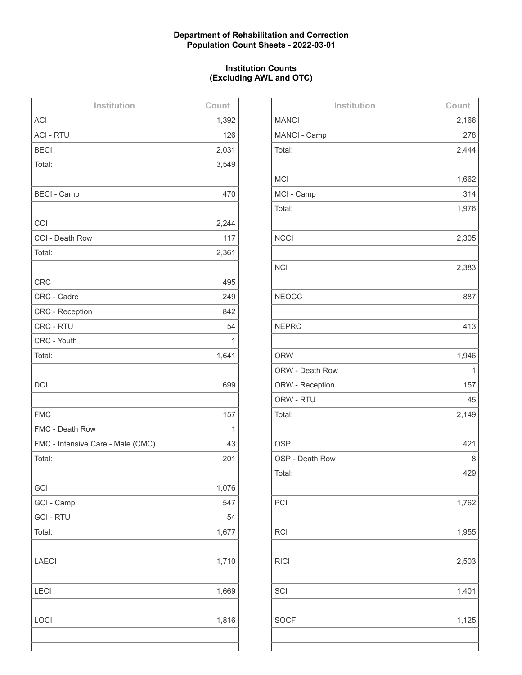## **Department of Rehabilitation and Correction Population Count Sheets - 2022-03-01**

## **Institution Counts (Excluding AWL and OTC)**

| Institution                       | Count |
|-----------------------------------|-------|
| <b>ACI</b>                        | 1,392 |
| <b>ACI - RTU</b>                  | 126   |
| <b>BECI</b>                       | 2,031 |
| Total:                            | 3,549 |
|                                   |       |
| <b>BECI - Camp</b>                | 470   |
|                                   |       |
| CCI                               | 2,244 |
| CCI - Death Row                   | 117   |
| Total:                            | 2,361 |
|                                   |       |
| <b>CRC</b>                        | 495   |
| CRC - Cadre                       | 249   |
| <b>CRC</b> - Reception            | 842   |
| CRC - RTU                         | 54    |
| CRC - Youth                       | 1     |
| Total:                            | 1,641 |
|                                   |       |
| <b>DCI</b>                        | 699   |
|                                   |       |
| <b>FMC</b>                        | 157   |
| FMC - Death Row                   | 1     |
| FMC - Intensive Care - Male (CMC) | 43    |
| Total:                            | 201   |
|                                   |       |
| GCI                               | 1,076 |
| GCI - Camp                        | 547   |
| <b>GCI - RTU</b>                  | 54    |
| Total:                            | 1,677 |
|                                   |       |
| <b>LAECI</b>                      | 1,710 |
|                                   |       |
| LECI                              | 1,669 |
|                                   |       |
| LOCI                              | 1,816 |
|                                   |       |
|                                   |       |

| Institution     | Count |
|-----------------|-------|
| <b>MANCI</b>    | 2,166 |
| MANCI - Camp    | 278   |
| Total:          | 2,444 |
|                 |       |
| <b>MCI</b>      | 1,662 |
| MCI - Camp      | 314   |
| Total:          | 1,976 |
|                 |       |
| <b>NCCI</b>     | 2,305 |
|                 |       |
| <b>NCI</b>      | 2,383 |
|                 |       |
| <b>NEOCC</b>    | 887   |
|                 |       |
| <b>NEPRC</b>    | 413   |
|                 |       |
| <b>ORW</b>      | 1,946 |
| ORW - Death Row | 1     |
| ORW - Reception | 157   |
| ORW - RTU       | 45    |
| Total:          | 2,149 |
|                 |       |
| <b>OSP</b>      | 421   |
| OSP - Death Row | 8     |
| Total:          | 429   |
|                 |       |
| PCI             | 1,762 |
|                 |       |
| <b>RCI</b>      | 1,955 |
|                 |       |
| <b>RICI</b>     | 2,503 |
|                 |       |
| SCI             | 1,401 |
|                 |       |
| <b>SOCF</b>     | 1,125 |
|                 |       |
|                 |       |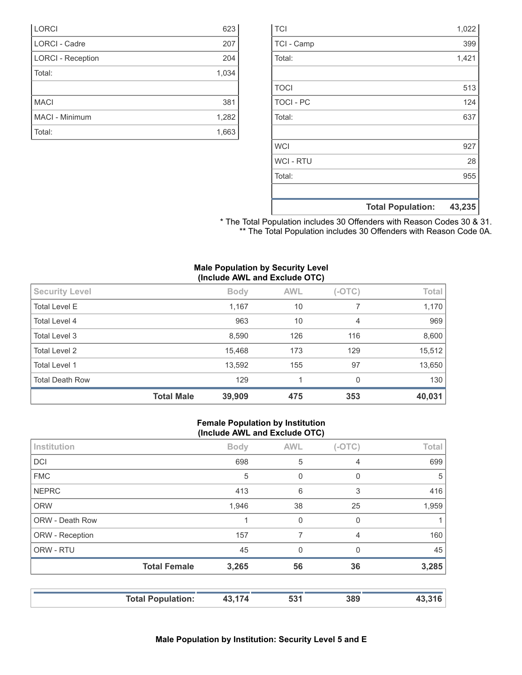|                  | <b>Total Population:</b> | 43,235 |
|------------------|--------------------------|--------|
|                  |                          |        |
| Total:           |                          | 955    |
| <b>WCI-RTU</b>   |                          | 28     |
| <b>WCI</b>       |                          | 927    |
|                  |                          |        |
| Total:           |                          | 637    |
| <b>TOCI - PC</b> |                          | 124    |
| <b>TOCI</b>      |                          | 513    |
|                  |                          |        |
| Total:           |                          | 1,421  |
| TCI - Camp       |                          | 399    |
| <b>TCI</b>       |                          | 1,022  |

|  | * The Total Population includes 30 Offenders with Reason Codes 30 & 31. |  |  |  |
|--|-------------------------------------------------------------------------|--|--|--|
|  | ** The Total Population includes 30 Offenders with Reason Code 0A.      |  |  |  |

|  |  | <b>Male Population by Security Level</b> |  |
|--|--|------------------------------------------|--|
|  |  | (Include AWL and Exclude OTC)            |  |

| <b>Total Death Row</b> | 129         |            | 0        | 130    |
|------------------------|-------------|------------|----------|--------|
| Total Level 1          | 13,592      | 155        | 97       | 13,650 |
| Total Level 2          | 15,468      | 173        | 129      | 15,512 |
| Total Level 3          | 8,590       | 126        | 116      | 8,600  |
| Total Level 4          | 963         | 10         | 4        | 969    |
| <b>Total Level E</b>   | 1,167       | 10         |          | 1,170  |
| <b>Security Level</b>  | <b>Body</b> | <b>AWL</b> | $(-OTC)$ | Total  |

LORCI 623 LORCI - Cadre 207 LORCI - Reception 204 Total: 1,034

MACI 381 MACI - Minimum 1,282 Total: 1,663

### **Female Population by Institution (Include AWL and Exclude OTC)**

|                 | <b>Total Population:</b> | 43,174      | 531         | 389      | 43,316 |
|-----------------|--------------------------|-------------|-------------|----------|--------|
|                 | <b>Total Female</b>      | 3,265       | 56          | 36       | 3,285  |
| ORW - RTU       |                          | 45          | $\mathbf 0$ | $\Omega$ | 45     |
| ORW - Reception |                          | 157         | 7           | 4        | 160    |
| ORW - Death Row |                          |             | 0           | $\Omega$ |        |
| <b>ORW</b>      |                          | 1,946       | 38          | 25       | 1,959  |
| <b>NEPRC</b>    |                          | 413         | 6           | 3        | 416    |
| <b>FMC</b>      |                          | 5           | $\mathbf 0$ | 0        | 5      |
| <b>DCI</b>      |                          | 698         | 5           | 4        | 699    |
| Institution     |                          | <b>Body</b> | <b>AWL</b>  | $(-OTC)$ | Total  |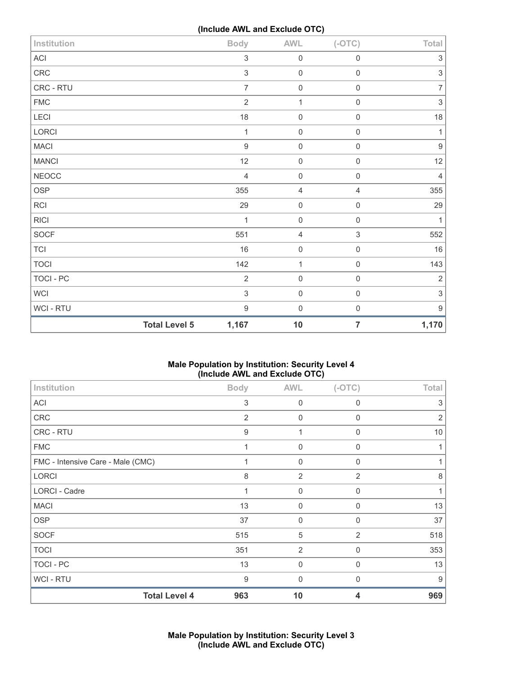**(Include AWL and Exclude OTC)**

| Institution  | $\mathcal{L}$        | <b>Body</b>               | <b>AWL</b>          | $(-OTC)$            | Total                     |
|--------------|----------------------|---------------------------|---------------------|---------------------|---------------------------|
| ACI          |                      | $\,$ 3 $\,$               | $\mathbf 0$         | $\mathsf{O}\xspace$ | $\ensuremath{\mathsf{3}}$ |
| CRC          |                      | $\mathfrak{S}$            | $\mathbf 0$         | $\mathsf{O}\xspace$ | $\mathsf 3$               |
| CRC - RTU    |                      | $\overline{7}$            | $\mathbf 0$         | $\mathsf{O}\xspace$ | $\overline{7}$            |
| ${\sf FMC}$  |                      | $\overline{2}$            | $\mathbf{1}$        | $\mathsf{O}\xspace$ | $\sqrt{3}$                |
| LECI         |                      | 18                        | $\mathbf 0$         | $\mathsf{O}\xspace$ | 18                        |
| LORCI        |                      | 1                         | $\mathbf 0$         | $\boldsymbol{0}$    | 1                         |
| <b>MACI</b>  |                      | $\boldsymbol{9}$          | $\mathbf 0$         | $\mathsf{O}\xspace$ | $\boldsymbol{9}$          |
| <b>MANCI</b> |                      | 12                        | $\mathbf 0$         | $\mathsf{O}\xspace$ | 12                        |
| <b>NEOCC</b> |                      | 4                         | $\mathbf 0$         | $\boldsymbol{0}$    | $\overline{4}$            |
| <b>OSP</b>   |                      | 355                       | $\sqrt{4}$          | $\overline{4}$      | 355                       |
| <b>RCI</b>   |                      | 29                        | $\mathbf 0$         | $\boldsymbol{0}$    | 29                        |
| <b>RICI</b>  |                      | 1                         | $\mathbf 0$         | $\boldsymbol{0}$    | 1                         |
| SOCF         |                      | 551                       | $\overline{4}$      | 3                   | 552                       |
| TCI          |                      | 16                        | $\mathsf{O}\xspace$ | $\mathsf{O}\xspace$ | $16\,$                    |
| <b>TOCI</b>  |                      | 142                       | $\mathbf 1$         | $\mathsf{O}\xspace$ | 143                       |
| TOCI - PC    |                      | $\overline{2}$            | $\mathbf 0$         | $\mathsf{O}\xspace$ | $\overline{2}$            |
| <b>WCI</b>   |                      | $\ensuremath{\mathsf{3}}$ | $\mathbf 0$         | $\mathsf{O}\xspace$ | $\ensuremath{\mathsf{3}}$ |
| WCI - RTU    |                      | $\boldsymbol{9}$          | $\mathbf 0$         | $\boldsymbol{0}$    | $\boldsymbol{9}$          |
|              | <b>Total Level 5</b> | 1,167                     | 10                  | $\overline{7}$      | 1,170                     |

# **Male Population by Institution: Security Level 4 (Include AWL and Exclude OTC)**

| Institution                       | <b>Body</b> | <b>AWL</b>     | $(-OTC)$       | Total          |
|-----------------------------------|-------------|----------------|----------------|----------------|
| ACI                               | 3           | $\mathbf 0$    | $\mathbf 0$    | 3              |
| CRC                               | 2           | $\mathbf 0$    | $\Omega$       | $\overline{2}$ |
| CRC - RTU                         | 9           | 1              | $\mathbf 0$    | 10             |
| <b>FMC</b>                        | 1           | $\mathbf 0$    | $\mathbf 0$    | 1              |
| FMC - Intensive Care - Male (CMC) |             | 0              | $\mathbf 0$    |                |
| <b>LORCI</b>                      | $\,8\,$     | $\overline{2}$ | $\overline{2}$ | 8              |
| LORCI - Cadre                     | 1           | $\mathbf 0$    | $\Omega$       | 1              |
| <b>MACI</b>                       | 13          | $\mathbf 0$    | $\Omega$       | 13             |
| <b>OSP</b>                        | 37          | 0              | $\Omega$       | 37             |
| <b>SOCF</b>                       | 515         | $\sqrt{5}$     | 2              | 518            |
| <b>TOCI</b>                       | 351         | $\overline{2}$ | $\Omega$       | 353            |
| <b>TOCI - PC</b>                  | 13          | $\mathbf 0$    | $\mathbf 0$    | 13             |
| WCI - RTU                         | 9           | $\mathbf 0$    | $\Omega$       | 9              |
| <b>Total Level 4</b>              | 963         | 10             | 4              | 969            |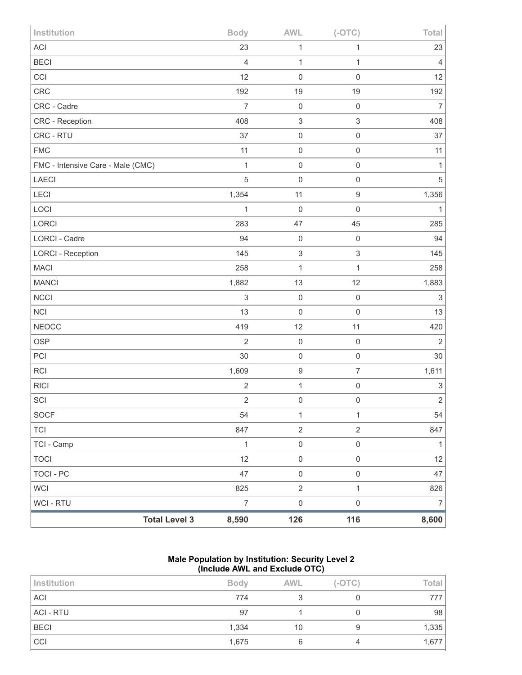| Institution                       |                      | <b>Body</b>    | <b>AWL</b>                | $(-OTC)$                  | Total                     |
|-----------------------------------|----------------------|----------------|---------------------------|---------------------------|---------------------------|
| ACI                               |                      | 23             | 1                         | 1                         | 23                        |
| <b>BECI</b>                       |                      | $\overline{4}$ | $\mathbf{1}$              | 1                         | 4                         |
| CCI                               |                      | 12             | $\mathbf 0$               | $\mathbf 0$               | 12                        |
| CRC                               |                      | 192            | 19                        | 19                        | 192                       |
| CRC - Cadre                       |                      | $\overline{7}$ | $\mathbf 0$               | $\mathbf 0$               | $\overline{7}$            |
| CRC - Reception                   |                      | 408            | $\sqrt{3}$                | $\ensuremath{\mathsf{3}}$ | 408                       |
| CRC - RTU                         |                      | 37             | $\mathbf 0$               | $\mathsf 0$               | 37                        |
| <b>FMC</b>                        |                      | 11             | $\mathbf 0$               | $\mathbf 0$               | 11                        |
| FMC - Intensive Care - Male (CMC) |                      | $\mathbf{1}$   | $\mathbf 0$               | $\mathsf{O}\xspace$       | 1                         |
| LAECI                             |                      | 5              | $\mathbf 0$               | $\mathbf 0$               | $\sqrt{5}$                |
| <b>LECI</b>                       |                      | 1,354          | 11                        | $\hbox{9}$                | 1,356                     |
| LOCI                              |                      | $\mathbf{1}$   | $\mathbf 0$               | $\mathbf 0$               | $\mathbf{1}$              |
| LORCI                             |                      | 283            | 47                        | 45                        | 285                       |
| LORCI - Cadre                     |                      | 94             | $\mathbf 0$               | $\mathbf 0$               | 94                        |
| <b>LORCI - Reception</b>          |                      | 145            | $\ensuremath{\mathsf{3}}$ | 3                         | 145                       |
| <b>MACI</b>                       |                      | 258            | 1                         | 1                         | 258                       |
| <b>MANCI</b>                      |                      | 1,882          | 13                        | 12                        | 1,883                     |
| <b>NCCI</b>                       |                      | $\,$ 3 $\,$    | $\mathbf 0$               | $\mathbf 0$               | $\sqrt{3}$                |
| <b>NCI</b>                        |                      | 13             | $\mathsf 0$               | $\mathbf 0$               | 13                        |
| <b>NEOCC</b>                      |                      | 419            | 12                        | 11                        | 420                       |
| <b>OSP</b>                        |                      | $\overline{2}$ | $\mathbf 0$               | $\mathbf 0$               | $\overline{2}$            |
| PCI                               |                      | 30             | $\mathbf 0$               | $\mathsf 0$               | $30\,$                    |
| RCI                               |                      | 1,609          | $\boldsymbol{9}$          | $\overline{7}$            | 1,611                     |
| <b>RICI</b>                       |                      | $\sqrt{2}$     | $\mathbf{1}$              | $\mathsf 0$               | $\ensuremath{\mathsf{3}}$ |
| SCI                               |                      | $\sqrt{2}$     | $\mathsf{O}\xspace$       | $\mathbf 0$               | $\overline{c}$            |
| SOCF                              |                      | 54             | $\mathbf{1}$              | 1                         | 54                        |
| TCI                               |                      | 847            | $\overline{2}$            | $\overline{2}$            | 847                       |
| TCI - Camp                        |                      | $\mathbf{1}$   | $\mathsf{O}\xspace$       | $\mathsf{O}\xspace$       | $\mathbf{1}$              |
| <b>TOCI</b>                       |                      | 12             | $\mathbf 0$               | $\mathsf{O}\xspace$       | 12                        |
| <b>TOCI - PC</b>                  |                      | 47             | $\mathsf{O}\xspace$       | $\mathsf{O}\xspace$       | 47                        |
| <b>WCI</b>                        |                      | 825            | $\overline{2}$            | $\mathbf{1}$              | 826                       |
| WCI - RTU                         |                      | $\overline{7}$ | $\mathsf{O}\xspace$       | $\mathsf{O}\xspace$       | 7                         |
|                                   | <b>Total Level 3</b> | 8,590          | 126                       | 116                       | 8,600                     |

### **Male Population by Institution: Security Level 2 (Include AWL and Exclude OTC)**

| Institution      | <b>Body</b> | <b>AWL</b> | $(-OTC)$ | Total |
|------------------|-------------|------------|----------|-------|
| <b>ACI</b>       | 774         |            |          |       |
| <b>ACI - RTU</b> | 97          |            |          | 98    |
| <b>BECI</b>      | 1,334       | 10         |          | 1,335 |
| CCI              | 1,675       |            | 4        | 1,677 |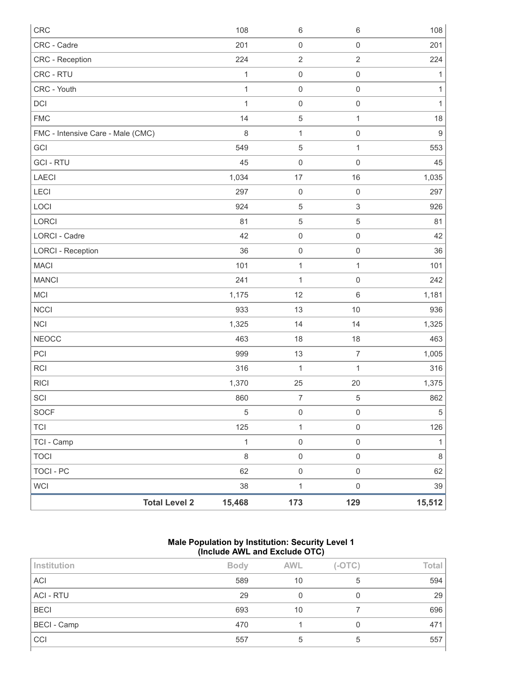| <b>CRC</b>                        | 108          | $\,6\,$             | $\,6\,$                   | 108              |
|-----------------------------------|--------------|---------------------|---------------------------|------------------|
| CRC - Cadre                       | 201          | $\mathbf 0$         | $\mathbf 0$               | 201              |
| CRC - Reception                   | 224          | $\sqrt{2}$          | $\sqrt{2}$                | 224              |
| CRC - RTU                         | $\mathbf{1}$ | $\mathbf 0$         | $\mathbf 0$               | $\mathbf{1}$     |
| CRC - Youth                       | $\mathbf{1}$ | $\mathbf 0$         | $\mathbf 0$               | $\mathbf{1}$     |
| DCI                               | $\mathbf{1}$ | $\mathbf 0$         | $\mathbf 0$               | $\mathbf{1}$     |
| <b>FMC</b>                        | 14           | $\,$ 5 $\,$         | $\mathbf{1}$              | 18               |
| FMC - Intensive Care - Male (CMC) | $\,8\,$      | $\mathbf{1}$        | $\mathbf 0$               | $\boldsymbol{9}$ |
| GCI                               | 549          | $\mathbf 5$         | $\mathbf{1}$              | 553              |
| <b>GCI-RTU</b>                    | 45           | $\mathbf 0$         | $\mathbf 0$               | 45               |
| <b>LAECI</b>                      | 1,034        | 17                  | 16                        | 1,035            |
| <b>LECI</b>                       | 297          | $\mathbf 0$         | $\mathbf 0$               | 297              |
| LOCI                              | 924          | $\,$ 5 $\,$         | $\ensuremath{\mathsf{3}}$ | 926              |
| LORCI                             | 81           | $\mathbf 5$         | $\mathbf 5$               | 81               |
| <b>LORCI - Cadre</b>              | 42           | $\mathsf{O}\xspace$ | $\mathbf 0$               | 42               |
| <b>LORCI - Reception</b>          | 36           | $\mathbf 0$         | $\mathbf 0$               | 36               |
| <b>MACI</b>                       | 101          | $\mathbf{1}$        | $\mathbf{1}$              | 101              |
| <b>MANCI</b>                      | 241          | $\mathbf{1}$        | $\mathbf 0$               | 242              |
| MCI                               | 1,175        | 12                  | $\,6\,$                   | 1,181            |
| <b>NCCI</b>                       | 933          | 13                  | 10                        | 936              |
| <b>NCI</b>                        | 1,325        | 14                  | 14                        | 1,325            |
| <b>NEOCC</b>                      | 463          | 18                  | 18                        | 463              |
| PCI                               | 999          | 13                  | $\boldsymbol{7}$          | 1,005            |
| <b>RCI</b>                        | 316          | $\mathbf{1}$        | $\mathbf{1}$              | 316              |
| <b>RICI</b>                       | 1,370        | 25                  | 20                        | 1,375            |
| SCI                               | 860          | $\boldsymbol{7}$    | $\,$ 5 $\,$               | 862              |
| <b>SOCF</b>                       | $\,$ 5 $\,$  | $\mathbf 0$         | $\mathbf 0$               | $\,$ 5 $\,$      |
| <b>TCI</b>                        | 125          | $\mathbf{1}$        | $\mathbf 0$               | 126              |
| TCI - Camp                        | $\mathbf{1}$ | $\mathsf 0$         | $\mathbf 0$               | $\mathbf{1}$     |
| <b>TOCI</b>                       | $\,8\,$      | $\mathsf{O}\xspace$ | $\mathsf{O}\xspace$       | $\,8\,$          |
| <b>TOCI - PC</b>                  | 62           | $\mathbf 0$         | $\mathsf{O}\xspace$       | 62               |
| <b>WCI</b>                        | 38           | $\mathbf{1}$        | $\mathbf 0$               | 39               |
| <b>Total Level 2</b>              | 15,468       | 173                 | 129                       | 15,512           |

## **Male Population by Institution: Security Level 1 (Include AWL and Exclude OTC)**

| Institution      | <b>Body</b> | <b>AWL</b> | $(-OTC)$ | Total |  |  |
|------------------|-------------|------------|----------|-------|--|--|
| ACI              | 589         | 10         | 5        | 594   |  |  |
| <b>ACI - RTU</b> | 29          |            |          | 29    |  |  |
| <b>BECI</b>      | 693         | 10         |          | 696   |  |  |
| BECI - Camp      | 470         |            |          | 471   |  |  |
| CCI              | 557         | 5          | 5        | 557   |  |  |
|                  |             |            |          |       |  |  |